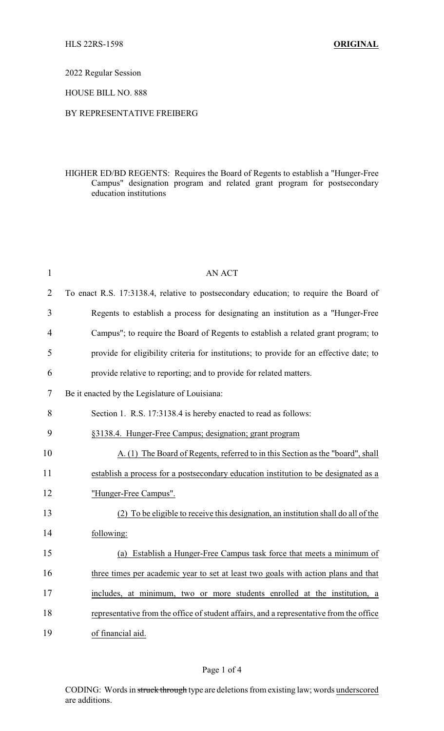#### 2022 Regular Session

### HOUSE BILL NO. 888

### BY REPRESENTATIVE FREIBERG

## HIGHER ED/BD REGENTS: Requires the Board of Regents to establish a "Hunger-Free Campus" designation program and related grant program for postsecondary education institutions

| $\mathbf{1}$   | <b>AN ACT</b>                                                                           |
|----------------|-----------------------------------------------------------------------------------------|
| $\overline{2}$ | To enact R.S. 17:3138.4, relative to postsecondary education; to require the Board of   |
| 3              | Regents to establish a process for designating an institution as a "Hunger-Free         |
| $\overline{4}$ | Campus"; to require the Board of Regents to establish a related grant program; to       |
| 5              | provide for eligibility criteria for institutions; to provide for an effective date; to |
| 6              | provide relative to reporting; and to provide for related matters.                      |
| 7              | Be it enacted by the Legislature of Louisiana:                                          |
| 8              | Section 1. R.S. 17:3138.4 is hereby enacted to read as follows:                         |
| 9              | §3138.4. Hunger-Free Campus; designation; grant program                                 |
| 10             | A. (1) The Board of Regents, referred to in this Section as the "board", shall          |
| 11             | establish a process for a postsecondary education institution to be designated as a     |
| 12             | "Hunger-Free Campus".                                                                   |
| 13             | (2) To be eligible to receive this designation, an institution shall do all of the      |
| 14             | following:                                                                              |
| 15             | (a) Establish a Hunger-Free Campus task force that meets a minimum of                   |
| 16             | three times per academic year to set at least two goals with action plans and that      |
| 17             | includes, at minimum, two or more students enrolled at the institution, a               |
| 18             | representative from the office of student affairs, and a representative from the office |
| 19             | of financial aid.                                                                       |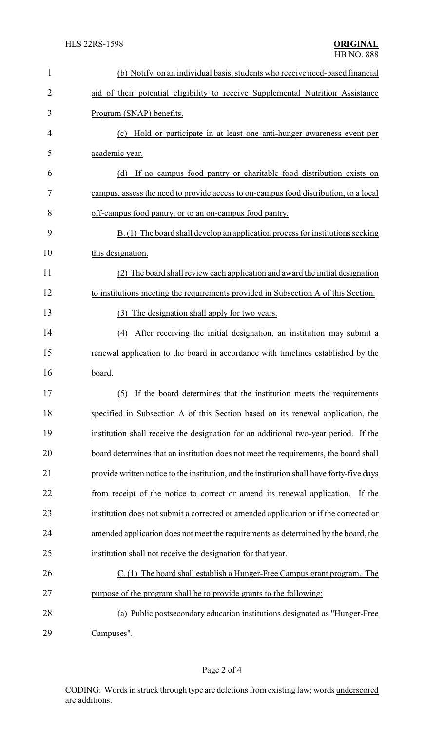| $\mathbf{1}$ | (b) Notify, on an individual basis, students who receive need-based financial             |
|--------------|-------------------------------------------------------------------------------------------|
| 2            | aid of their potential eligibility to receive Supplemental Nutrition Assistance           |
| 3            | Program (SNAP) benefits.                                                                  |
| 4            | (c) Hold or participate in at least one anti-hunger awareness event per                   |
| 5            | academic year.                                                                            |
| 6            | If no campus food pantry or charitable food distribution exists on<br>(d)                 |
| 7            | campus, assess the need to provide access to on-campus food distribution, to a local      |
| 8            | off-campus food pantry, or to an on-campus food pantry.                                   |
| 9            | B. (1) The board shall develop an application process for institutions seeking            |
| 10           | this designation.                                                                         |
| 11           | (2) The board shall review each application and award the initial designation             |
| 12           | to institutions meeting the requirements provided in Subsection A of this Section.        |
| 13           | (3) The designation shall apply for two years.                                            |
| 14           | (4) After receiving the initial designation, an institution may submit a                  |
| 15           | renewal application to the board in accordance with timelines established by the          |
| 16           | board.                                                                                    |
| 17           | (5) If the board determines that the institution meets the requirements                   |
| 18           | specified in Subsection A of this Section based on its renewal application, the           |
| 19           | institution shall receive the designation for an additional two-year period. If the       |
| 20           | board determines that an institution does not meet the requirements, the board shall      |
| 21           | provide written notice to the institution, and the institution shall have forty-five days |
| 22           | from receipt of the notice to correct or amend its renewal application.<br>If the         |
| 23           | institution does not submit a corrected or amended application or if the corrected or     |
| 24           | amended application does not meet the requirements as determined by the board, the        |
| 25           | institution shall not receive the designation for that year.                              |
| 26           | C. (1) The board shall establish a Hunger-Free Campus grant program. The                  |
| 27           | purpose of the program shall be to provide grants to the following:                       |
| 28           | (a) Public postsecondary education institutions designated as "Hunger-Free                |
| 29           | Campuses".                                                                                |

Page 2 of 4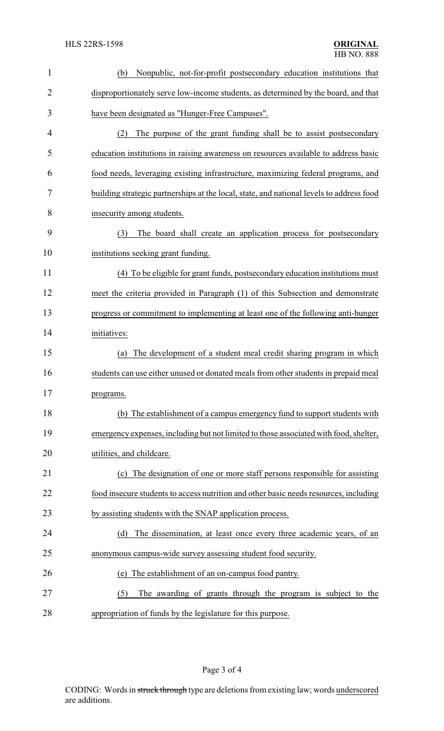| $\mathbf{1}$   | Nonpublic, not-for-profit postsecondary education institutions that<br>(b)               |
|----------------|------------------------------------------------------------------------------------------|
| $\overline{2}$ | disproportionately serve low-income students, as determined by the board, and that       |
| 3              | have been designated as "Hunger-Free Campuses".                                          |
| 4              | (2)<br>The purpose of the grant funding shall be to assist postsecondary                 |
| 5              | education institutions in raising awareness on resources available to address basic      |
| 6              | food needs, leveraging existing infrastructure, maximizing federal programs, and         |
| 7              | building strategic partnerships at the local, state, and national levels to address food |
| 8              | insecurity among students.                                                               |
| 9              | The board shall create an application process for postsecondary<br>(3)                   |
| 10             | institutions seeking grant funding.                                                      |
| 11             | (4) To be eligible for grant funds, postsecondary education institutions must            |
| 12             | meet the criteria provided in Paragraph (1) of this Subsection and demonstrate           |
| 13             | progress or commitment to implementing at least one of the following anti-hunger         |
| 14             | initiatives:                                                                             |
| 15             | The development of a student meal credit sharing program in which<br>(a)                 |
| 16             | students can use either unused or donated meals from other students in prepaid meal      |
| 17             | programs.                                                                                |
| 18             | (b) The establishment of a campus emergency fund to support students with                |
| 19             | emergency expenses, including but not limited to those associated with food, shelter,    |
| 20             | utilities, and childcare.                                                                |
| 21             | (c) The designation of one or more staff persons responsible for assisting               |
| 22             | food insecure students to access nutrition and other basic needs resources, including    |
| 23             | by assisting students with the SNAP application process.                                 |
| 24             | The dissemination, at least once every three academic years, of an<br>(d)                |
| 25             | anonymous campus-wide survey assessing student food security.                            |
| 26             | The establishment of an on-campus food pantry.<br>(e)                                    |
| 27             | (5)<br>The awarding of grants through the program is subject to the                      |
| 28             | appropriation of funds by the legislature for this purpose.                              |